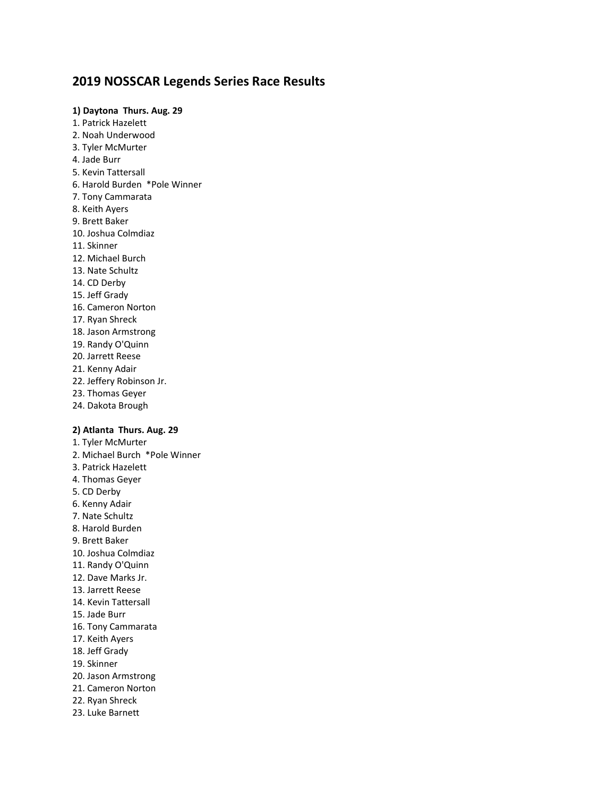# **2019 NOSSCAR Legends Series Race Results**

# **1) Daytona Thurs. Aug. 29**

- 1. Patrick Hazelett 2. Noah Underwood 3. Tyler McMurter 4. Jade Burr 5. Kevin Tattersall 6. Harold Burden \*Pole Winner 7. Tony Cammarata 8. Keith Ayers 9. Brett Baker 10. Joshua Colmdiaz 11. Skinner 12. Michael Burch 13. Nate Schultz 14. CD Derby 15. Jeff Grady 16. Cameron Norton 17. Ryan Shreck 18. Jason Armstrong 19. Randy O'Quinn 20. Jarrett Reese 21. Kenny Adair 22. Jeffery Robinson Jr. 23. Thomas Geyer 24. Dakota Brough **2) Atlanta Thurs. Aug. 29** 1. Tyler McMurter 2. Michael Burch \*Pole Winner
- 3. Patrick Hazelett 4. Thomas Geyer 5. CD Derby 6. Kenny Adair 7. Nate Schultz 8. Harold Burden 9. Brett Baker 10. Joshua Colmdiaz 11. Randy O'Quinn 12. Dave Marks Jr. 13. Jarrett Reese 14. Kevin Tattersall 15. Jade Burr 16. Tony Cammarata 17. Keith Ayers 18. Jeff Grady 19. Skinner 20. Jason Armstrong 21. Cameron Norton 22. Ryan Shreck 23. Luke Barnett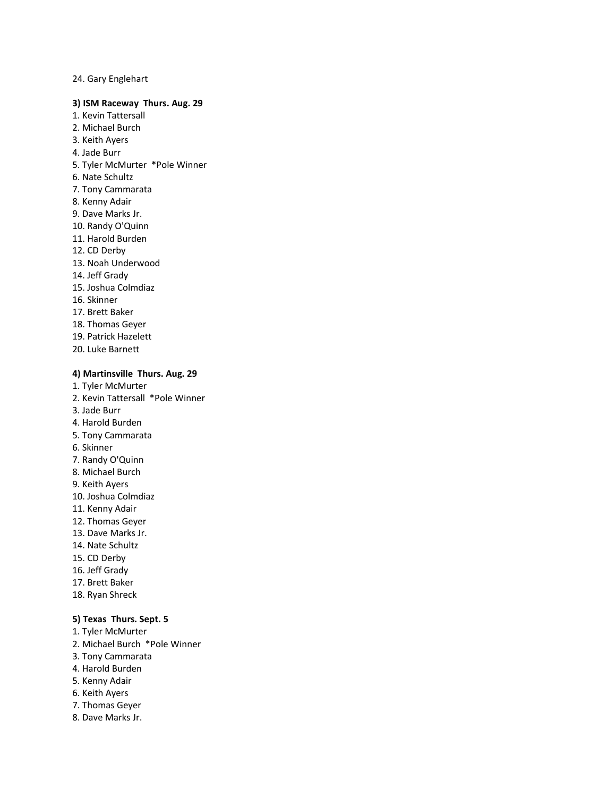24. Gary Englehart

### **3) ISM Raceway Thurs. Aug. 29**

- 1. Kevin Tattersall
- 2. Michael Burch
- 3. Keith Ayers
- 4. Jade Burr
- 5. Tyler McMurter \*Pole Winner
- 6. Nate Schultz
- 7. Tony Cammarata
- 8. Kenny Adair
- 9. Dave Marks Jr.
- 10. Randy O'Quinn
- 11. Harold Burden
- 12. CD Derby
- 13. Noah Underwood
- 14. Jeff Grady
- 15. Joshua Colmdiaz
- 16. Skinner
- 17. Brett Baker
- 18. Thomas Geyer
- 19. Patrick Hazelett
- 20. Luke Barnett

# **4) Martinsville Thurs. Aug. 29**

- 1. Tyler McMurter
- 2. Kevin Tattersall \*Pole Winner
- 3. Jade Burr
- 4. Harold Burden
- 5. Tony Cammarata
- 6. Skinner
- 7. Randy O'Quinn
- 8. Michael Burch
- 9. Keith Ayers
- 10. Joshua Colmdiaz
- 11. Kenny Adair
- 12. Thomas Geyer
- 13. Dave Marks Jr.
- 14. Nate Schultz
- 15. CD Derby
- 16. Jeff Grady
- 17. Brett Baker
- 18. Ryan Shreck

# **5) Texas Thurs. Sept. 5**

- 1. Tyler McMurter
- 2. Michael Burch \*Pole Winner
- 3. Tony Cammarata
- 4. Harold Burden
- 5. Kenny Adair
- 6. Keith Ayers
- 7. Thomas Geyer
- 8. Dave Marks Jr.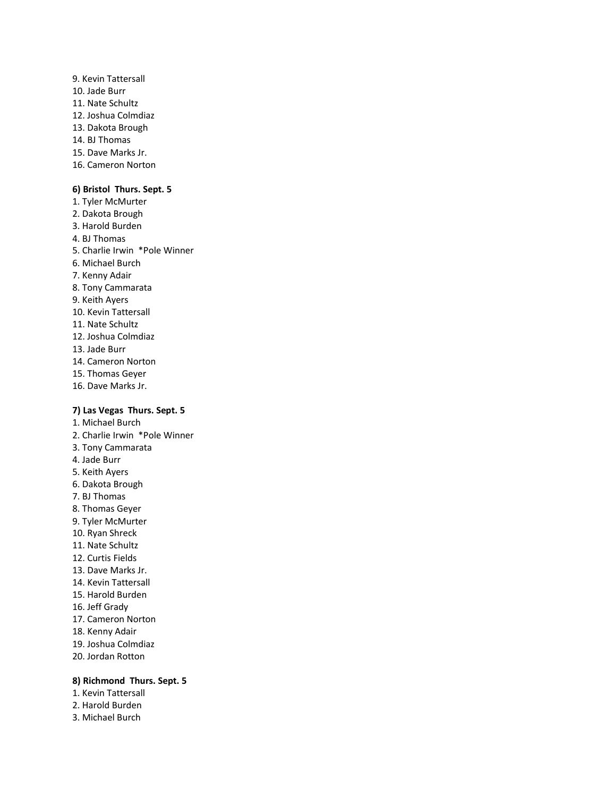- 9. Kevin Tattersall 10. Jade Burr 11. Nate Schultz 12. Joshua Colmdiaz 13. Dakota Brough 14. BJ Thomas 15. Dave Marks Jr.
- 16. Cameron Norton

### **6) Bristol Thurs. Sept. 5**

1. Tyler McMurter 2. Dakota Brough 3. Harold Burden 4. BJ Thomas 5. Charlie Irwin \*Pole Winner 6. Michael Burch 7. Kenny Adair 8. Tony Cammarata 9. Keith Ayers 10. Kevin Tattersall 11. Nate Schultz 12. Joshua Colmdiaz 13. Jade Burr 14. Cameron Norton 15. Thomas Geyer 16. Dave Marks Jr.

### **7) Las Vegas Thurs. Sept. 5**

1. Michael Burch 2. Charlie Irwin \*Pole Winner 3. Tony Cammarata 4. Jade Burr 5. Keith Ayers 6. Dakota Brough 7. BJ Thomas 8. Thomas Geyer 9. Tyler McMurter 10. Ryan Shreck 11. Nate Schultz 12. Curtis Fields 13. Dave Marks Jr. 14. Kevin Tattersall 15. Harold Burden 16. Jeff Grady 17. Cameron Norton 18. Kenny Adair 19. Joshua Colmdiaz 20. Jordan Rotton

# **8) Richmond Thurs. Sept. 5**

- 1. Kevin Tattersall
- 2. Harold Burden
- 3. Michael Burch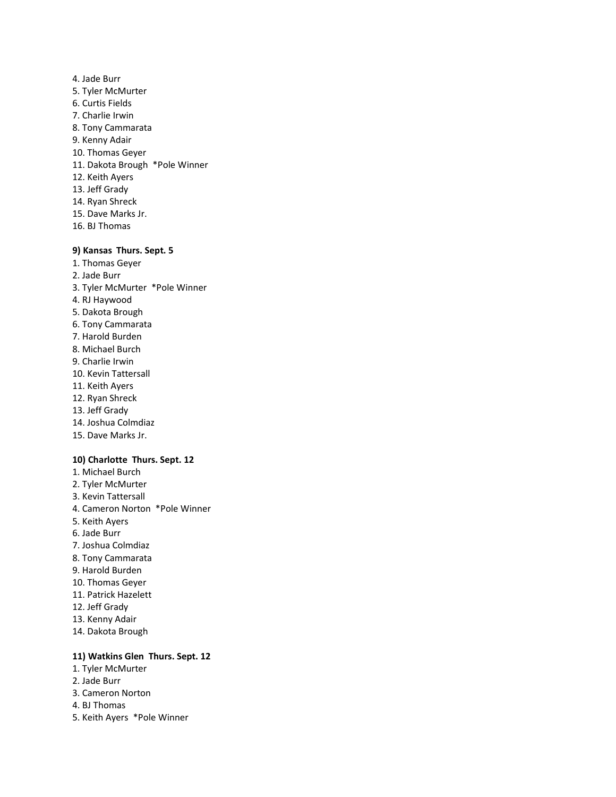4. Jade Burr 5. Tyler McMurter 6. Curtis Fields 7. Charlie Irwin 8. Tony Cammarata 9. Kenny Adair 10. Thomas Geyer 11. Dakota Brough \*Pole Winner 12. Keith Ayers 13. Jeff Grady 14. Ryan Shreck 15. Dave Marks Jr. 16. BJ Thomas

# **9) Kansas Thurs. Sept. 5**

- 1. Thomas Geyer 2. Jade Burr 3. Tyler McMurter \*Pole Winner 4. RJ Haywood 5. Dakota Brough 6. Tony Cammarata 7. Harold Burden 8. Michael Burch 9. Charlie Irwin 10. Kevin Tattersall 11. Keith Ayers 12. Ryan Shreck 13. Jeff Grady 14. Joshua Colmdiaz 15. Dave Marks Jr. **10) Charlotte Thurs. Sept. 12**
- 1. Michael Burch 2. Tyler McMurter 3. Kevin Tattersall
- 4. Cameron Norton \*Pole Winner
- 5. Keith Ayers
- 6. Jade Burr
- 7. Joshua Colmdiaz
- 8. Tony Cammarata
- 9. Harold Burden
- 10. Thomas Geyer
- 11. Patrick Hazelett
- 12. Jeff Grady
- 13. Kenny Adair
- 14. Dakota Brough

### **11) Watkins Glen Thurs. Sept. 12**

- 1. Tyler McMurter
- 2. Jade Burr
- 3. Cameron Norton
- 4. BJ Thomas
- 5. Keith Ayers \*Pole Winner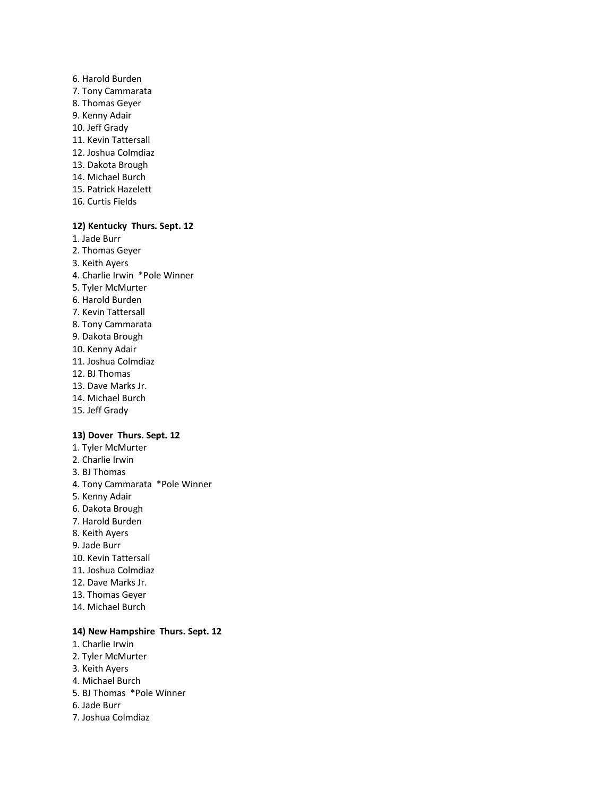- 6. Harold Burden 7. Tony Cammarata 8. Thomas Geyer 9. Kenny Adair 10. Jeff Grady 11. Kevin Tattersall 12. Joshua Colmdiaz 13. Dakota Brough 14. Michael Burch 15. Patrick Hazelett
- 16. Curtis Fields

# **12) Kentucky Thurs. Sept. 12**

- 1. Jade Burr 2. Thomas Geyer 3. Keith Ayers 4. Charlie Irwin \*Pole Winner 5. Tyler McMurter 6. Harold Burden 7. Kevin Tattersall 8. Tony Cammarata 9. Dakota Brough 10. Kenny Adair 11. Joshua Colmdiaz 12. BJ Thomas 13. Dave Marks Jr. 14. Michael Burch
- 15. Jeff Grady

### **13) Dover Thurs. Sept. 12**

1. Tyler McMurter 2. Charlie Irwin 3. BJ Thomas 4. Tony Cammarata \*Pole Winner 5. Kenny Adair 6. Dakota Brough 7. Harold Burden 8. Keith Ayers 9. Jade Burr 10. Kevin Tattersall 11. Joshua Colmdiaz 12. Dave Marks Jr. 13. Thomas Geyer 14. Michael Burch

# **14) New Hampshire Thurs. Sept. 12**

- 1. Charlie Irwin
- 2. Tyler McMurter
- 3. Keith Ayers
- 4. Michael Burch
- 5. BJ Thomas \*Pole Winner
- 6. Jade Burr
- 7. Joshua Colmdiaz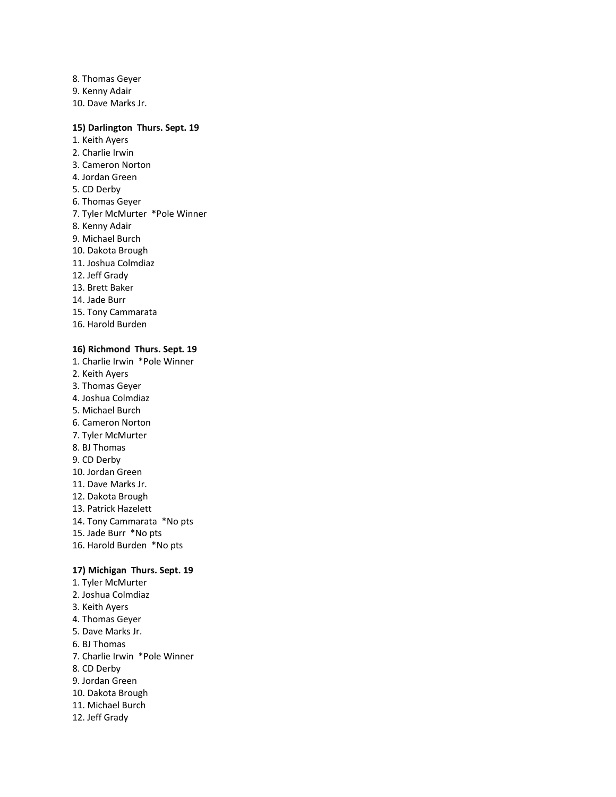8. Thomas Geyer 9. Kenny Adair 10. Dave Marks Jr.

### **15) Darlington Thurs. Sept. 19**

1. Keith Ayers 2. Charlie Irwin 3. Cameron Norton 4. Jordan Green 5. CD Derby 6. Thomas Geyer 7. Tyler McMurter \*Pole Winner 8. Kenny Adair 9. Michael Burch 10. Dakota Brough 11. Joshua Colmdiaz 12. Jeff Grady 13. Brett Baker 14. Jade Burr 15. Tony Cammarata 16. Harold Burden

# **16) Richmond Thurs. Sept. 19**

- 1. Charlie Irwin \*Pole Winner 2. Keith Ayers 3. Thomas Geyer 4. Joshua Colmdiaz 5. Michael Burch 6. Cameron Norton 7. Tyler McMurter 8. BJ Thomas 9. CD Derby 10. Jordan Green 11. Dave Marks Jr. 12. Dakota Brough 13. Patrick Hazelett 14. Tony Cammarata \*No pts 15. Jade Burr \*No pts 16. Harold Burden \*No pts **17) Michigan Thurs. Sept. 19** 1. Tyler McMurter 2. Joshua Colmdiaz 3. Keith Ayers 4. Thomas Geyer 5. Dave Marks Jr. 6. BJ Thomas
- 7. Charlie Irwin \*Pole Winner
- 8. CD Derby
- 9. Jordan Green
- 10. Dakota Brough
- 11. Michael Burch
- 12. Jeff Grady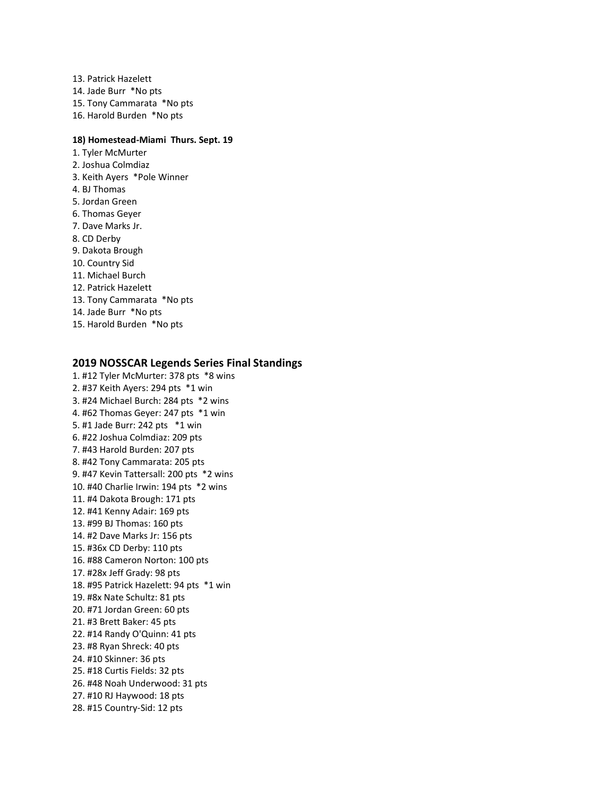13. Patrick Hazelett 14. Jade Burr \*No pts 15. Tony Cammarata \*No pts 16. Harold Burden \*No pts

### **18) Homestead-Miami Thurs. Sept. 19**

1. Tyler McMurter 2. Joshua Colmdiaz 3. Keith Ayers \*Pole Winner 4. BJ Thomas 5. Jordan Green 6. Thomas Geyer 7. Dave Marks Jr. 8. CD Derby 9. Dakota Brough 10. Country Sid 11. Michael Burch 12. Patrick Hazelett 13. Tony Cammarata \*No pts 14. Jade Burr \*No pts 15. Harold Burden \*No pts

### **2019 NOSSCAR Legends Series Final Standings**

1. #12 Tyler McMurter: 378 pts \*8 wins 2. #37 Keith Ayers: 294 pts \*1 win 3. #24 Michael Burch: 284 pts \*2 wins 4. #62 Thomas Geyer: 247 pts \*1 win 5. #1 Jade Burr: 242 pts \*1 win 6. #22 Joshua Colmdiaz: 209 pts 7. #43 Harold Burden: 207 pts 8. #42 Tony Cammarata: 205 pts 9. #47 Kevin Tattersall: 200 pts \*2 wins 10. #40 Charlie Irwin: 194 pts \*2 wins 11. #4 Dakota Brough: 171 pts 12. #41 Kenny Adair: 169 pts 13. #99 BJ Thomas: 160 pts 14. #2 Dave Marks Jr: 156 pts 15. #36x CD Derby: 110 pts 16. #88 Cameron Norton: 100 pts 17. #28x Jeff Grady: 98 pts 18. #95 Patrick Hazelett: 94 pts \*1 win 19. #8x Nate Schultz: 81 pts 20. #71 Jordan Green: 60 pts 21. #3 Brett Baker: 45 pts 22. #14 Randy O'Quinn: 41 pts 23. #8 Ryan Shreck: 40 pts 24. #10 Skinner: 36 pts 25. #18 Curtis Fields: 32 pts 26. #48 Noah Underwood: 31 pts 27. #10 RJ Haywood: 18 pts 28. #15 Country-Sid: 12 pts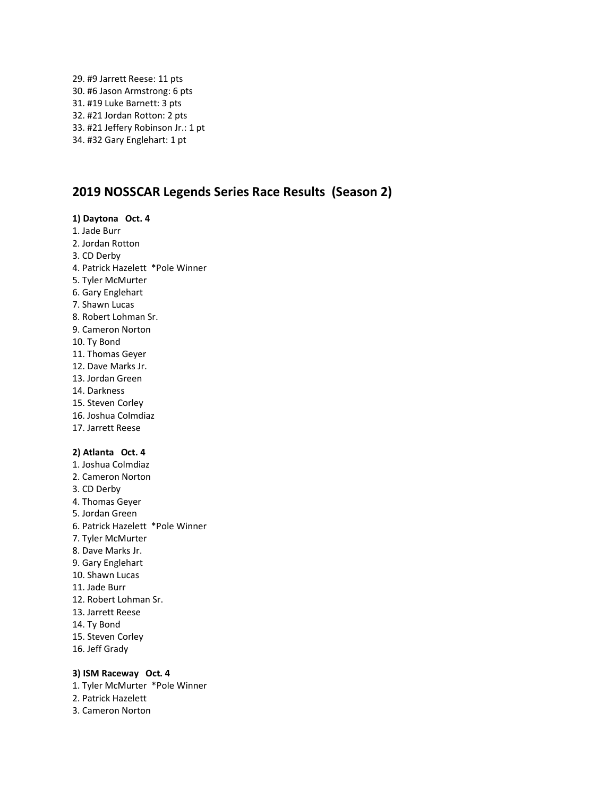29. #9 Jarrett Reese: 11 pts 30. #6 Jason Armstrong: 6 pts 31. #19 Luke Barnett: 3 pts 32. #21 Jordan Rotton: 2 pts 33. #21 Jeffery Robinson Jr.: 1 pt 34. #32 Gary Englehart: 1 pt

# **2019 NOSSCAR Legends Series Race Results (Season 2)**

### **1) Daytona Oct. 4**

- 1. Jade Burr
- 2. Jordan Rotton
- 3. CD Derby
- 4. Patrick Hazelett \*Pole Winner
- 5. Tyler McMurter
- 6. Gary Englehart
- 7. Shawn Lucas
- 8. Robert Lohman Sr.
- 9. Cameron Norton
- 10. Ty Bond
- 11. Thomas Geyer
- 12. Dave Marks Jr.
- 13. Jordan Green
- 14. Darkness
- 15. Steven Corley
- 16. Joshua Colmdiaz
- 17. Jarrett Reese

### **2) Atlanta Oct. 4**

1. Joshua Colmdiaz 2. Cameron Norton 3. CD Derby 4. Thomas Geyer 5. Jordan Green 6. Patrick Hazelett \*Pole Winner 7. Tyler McMurter 8. Dave Marks Jr. 9. Gary Englehart 10. Shawn Lucas 11. Jade Burr 12. Robert Lohman Sr. 13. Jarrett Reese 14. Ty Bond 15. Steven Corley 16. Jeff Grady

### **3) ISM Raceway Oct. 4**

- 1. Tyler McMurter \*Pole Winner
- 2. Patrick Hazelett
- 3. Cameron Norton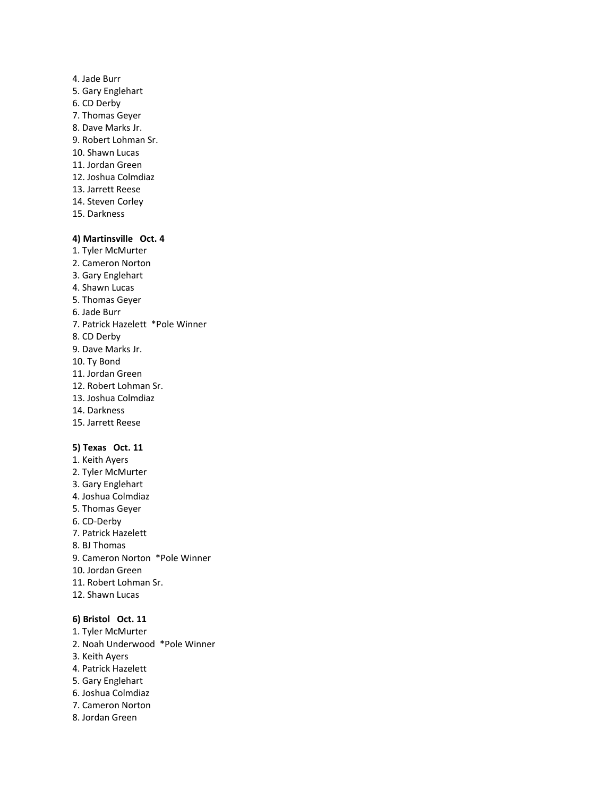4. Jade Burr 5. Gary Englehart 6. CD Derby 7. Thomas Geyer 8. Dave Marks Jr. 9. Robert Lohman Sr. 10. Shawn Lucas 11. Jordan Green 12. Joshua Colmdiaz 13. Jarrett Reese 14. Steven Corley 15. Darkness

# **4) Martinsville Oct. 4**

- 1. Tyler McMurter
- 2. Cameron Norton
- 3. Gary Englehart 4. Shawn Lucas
- 5. Thomas Geyer
- 6. Jade Burr
- 7. Patrick Hazelett \*Pole Winner
- 8. CD Derby
- 9. Dave Marks Jr.
- 10. Ty Bond
- 11. Jordan Green
- 12. Robert Lohman Sr.
- 13. Joshua Colmdiaz
- 14. Darkness
- 15. Jarrett Reese

# **5) Texas Oct. 11**

- 1. Keith Ayers 2. Tyler McMurter 3. Gary Englehart 4. Joshua Colmdiaz 5. Thomas Geyer 6. CD-Derby 7. Patrick Hazelett 8. BJ Thomas 9. Cameron Norton \*Pole Winner 10. Jordan Green 11. Robert Lohman Sr.
- 12. Shawn Lucas

# **6) Bristol Oct. 11**

- 1. Tyler McMurter
- 2. Noah Underwood \*Pole Winner
- 3. Keith Ayers
- 4. Patrick Hazelett
- 5. Gary Englehart
- 6. Joshua Colmdiaz
- 7. Cameron Norton
- 8. Jordan Green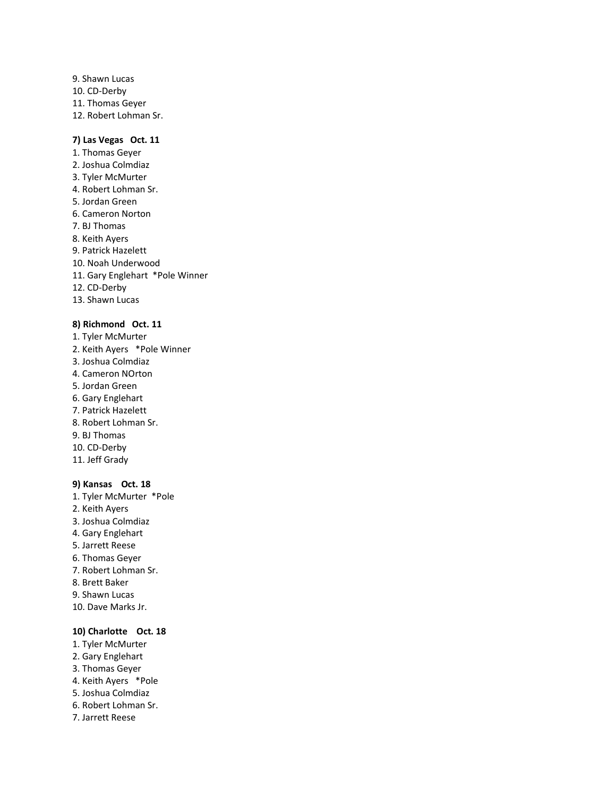9. Shawn Lucas 10. CD-Derby 11. Thomas Geyer 12. Robert Lohman Sr.

### **7) Las Vegas Oct. 11**

1. Thomas Geyer 2. Joshua Colmdiaz 3. Tyler McMurter 4. Robert Lohman Sr. 5. Jordan Green 6. Cameron Norton 7. BJ Thomas 8. Keith Ayers 9. Patrick Hazelett 10. Noah Underwood 11. Gary Englehart \*Pole Winner 12. CD-Derby 13. Shawn Lucas

#### **8) Richmond Oct. 11**

1. Tyler McMurter 2. Keith Ayers \*Pole Winner 3. Joshua Colmdiaz 4. Cameron NOrton 5. Jordan Green 6. Gary Englehart 7. Patrick Hazelett 8. Robert Lohman Sr. 9. BJ Thomas 10. CD-Derby 11. Jeff Grady

# **9) Kansas Oct. 18**

1. Tyler McMurter \*Pole 2. Keith Ayers 3. Joshua Colmdiaz 4. Gary Englehart 5. Jarrett Reese 6. Thomas Geyer 7. Robert Lohman Sr. 8. Brett Baker 9. Shawn Lucas 10. Dave Marks Jr.

# **10) Charlotte Oct. 18**

- 1. Tyler McMurter
- 2. Gary Englehart
- 3. Thomas Geyer
- 4. Keith Ayers \*Pole
- 5. Joshua Colmdiaz
- 6. Robert Lohman Sr.
- 7. Jarrett Reese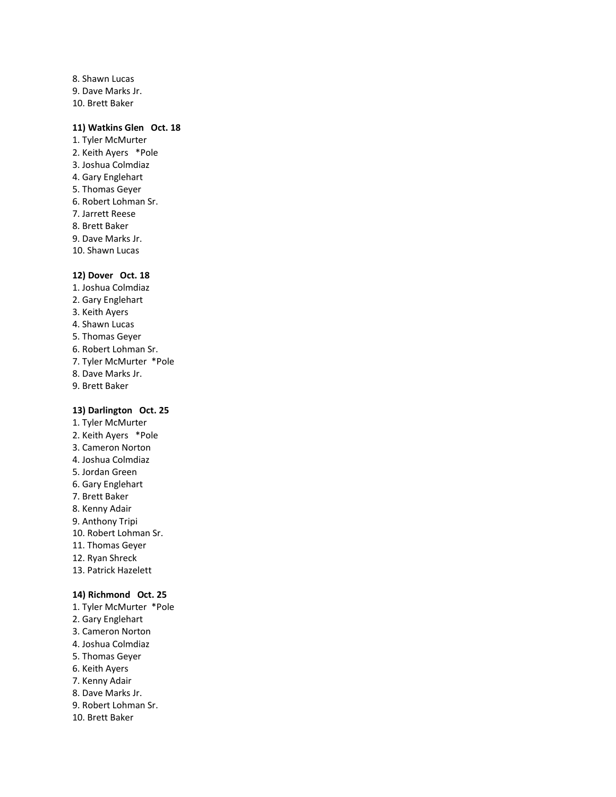8. Shawn Lucas 9. Dave Marks Jr. 10. Brett Baker

### **11) Watkins Glen Oct. 18**

- 1. Tyler McMurter 2. Keith Ayers \*Pole 3. Joshua Colmdiaz 4. Gary Englehart 5. Thomas Geyer 6. Robert Lohman Sr. 7. Jarrett Reese 8. Brett Baker 9. Dave Marks Jr.
- 10. Shawn Lucas

### **12) Dover Oct. 18**

1. Joshua Colmdiaz 2. Gary Englehart 3. Keith Ayers 4. Shawn Lucas 5. Thomas Geyer 6. Robert Lohman Sr. 7. Tyler McMurter \*Pole 8. Dave Marks Jr. 9. Brett Baker

# **13) Darlington Oct. 25**

- 1. Tyler McMurter 2. Keith Ayers \*Pole 3. Cameron Norton 4. Joshua Colmdiaz 5. Jordan Green 6. Gary Englehart 7. Brett Baker 8. Kenny Adair 9. Anthony Tripi 10. Robert Lohman Sr. 11. Thomas Geyer 12. Ryan Shreck 13. Patrick Hazelett **14) Richmond Oct. 25**
- 1. Tyler McMurter \*Pole
- 2. Gary Englehart
- 3. Cameron Norton
- 4. Joshua Colmdiaz
- 5. Thomas Geyer
- 6. Keith Ayers
- 7. Kenny Adair
- 8. Dave Marks Jr.
- 9. Robert Lohman Sr.
- 10. Brett Baker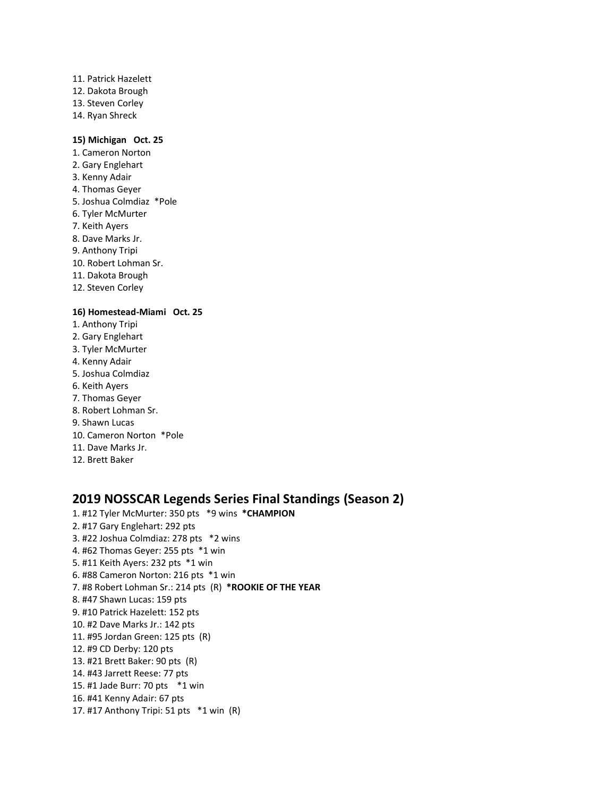11. Patrick Hazelett 12. Dakota Brough 13. Steven Corley 14. Ryan Shreck

### **15) Michigan Oct. 25**

1. Cameron Norton 2. Gary Englehart 3. Kenny Adair 4. Thomas Geyer 5. Joshua Colmdiaz \*Pole 6. Tyler McMurter 7. Keith Ayers 8. Dave Marks Jr. 9. Anthony Tripi 10. Robert Lohman Sr. 11. Dakota Brough 12. Steven Corley

# **16) Homestead-Miami Oct. 25**

- 1. Anthony Tripi 2. Gary Englehart
- 3. Tyler McMurter
- 4. Kenny Adair
- 5. Joshua Colmdiaz
- 6. Keith Ayers
- 7. Thomas Geyer
- 8. Robert Lohman Sr.
- 9. Shawn Lucas
- 10. Cameron Norton \*Pole
- 11. Dave Marks Jr.
- 12. Brett Baker

# **2019 NOSSCAR Legends Series Final Standings (Season 2)**

1. #12 Tyler McMurter: 350 pts \*9 wins **\*CHAMPION** 2. #17 Gary Englehart: 292 pts 3. #22 Joshua Colmdiaz: 278 pts \*2 wins 4. #62 Thomas Geyer: 255 pts \*1 win 5. #11 Keith Ayers: 232 pts \*1 win 6. #88 Cameron Norton: 216 pts \*1 win 7. #8 Robert Lohman Sr.: 214 pts (R) **\*ROOKIE OF THE YEAR** 8. #47 Shawn Lucas: 159 pts 9. #10 Patrick Hazelett: 152 pts 10. #2 Dave Marks Jr.: 142 pts 11. #95 Jordan Green: 125 pts (R) 12. #9 CD Derby: 120 pts 13. #21 Brett Baker: 90 pts (R) 14. #43 Jarrett Reese: 77 pts 15. #1 Jade Burr: 70 pts \*1 win 16. #41 Kenny Adair: 67 pts 17. #17 Anthony Tripi: 51 pts \*1 win (R)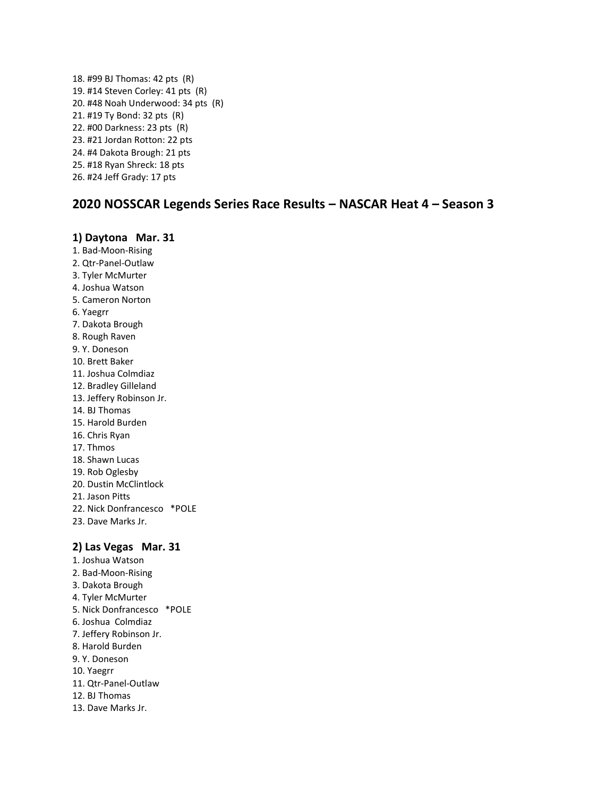18. #99 BJ Thomas: 42 pts (R) 19. #14 Steven Corley: 41 pts (R) 20. #48 Noah Underwood: 34 pts (R) 21. #19 Ty Bond: 32 pts (R) 22. #00 Darkness: 23 pts (R) 23. #21 Jordan Rotton: 22 pts 24. #4 Dakota Brough: 21 pts 25. #18 Ryan Shreck: 18 pts 26. #24 Jeff Grady: 17 pts

# **2020 NOSSCAR Legends Series Race Results – NASCAR Heat 4 – Season 3**

# **1) Daytona Mar. 31**

- 1. Bad-Moon-Rising
- 2. Qtr-Panel-Outlaw
- 3. Tyler McMurter 4. Joshua Watson
- 5. Cameron Norton
- 6. Yaegrr
- 7. Dakota Brough
- 8. Rough Raven
- 9. Y. Doneson
- 10. Brett Baker
- 11. Joshua Colmdiaz
- 12. Bradley Gilleland
- 13. Jeffery Robinson Jr.
- 14. BJ Thomas
- 15. Harold Burden
- 16. Chris Ryan
- 17. Thmos
- 18. Shawn Lucas
- 19. Rob Oglesby
- 20. Dustin McClintlock
- 21. Jason Pitts
- 22. Nick Donfrancesco \*POLE
- 23. Dave Marks Jr.

# **2) Las Vegas Mar. 31**

- 1. Joshua Watson
- 2. Bad-Moon-Rising
- 3. Dakota Brough
- 4. Tyler McMurter
- 5. Nick Donfrancesco \*POLE
- 6. Joshua Colmdiaz
- 7. Jeffery Robinson Jr.
- 8. Harold Burden
- 9. Y. Doneson
- 10. Yaegrr
- 11. Qtr-Panel-Outlaw
- 12. BJ Thomas
- 13. Dave Marks Jr.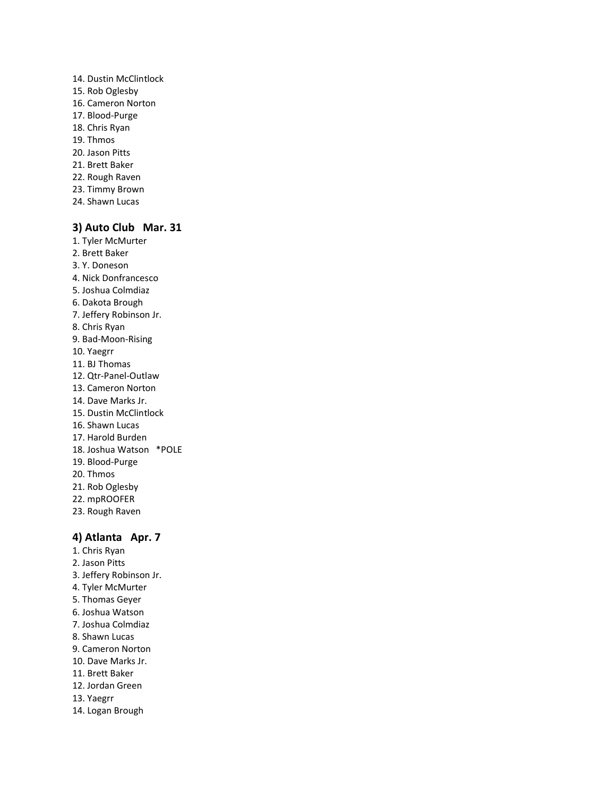- 14. Dustin McClintlock 15. Rob Oglesby 16. Cameron Norton 17. Blood-Purge 18. Chris Ryan 19. Thmos 20. Jason Pitts 21. Brett Baker 22. Rough Raven 23. Timmy Brown
- 24. Shawn Lucas

# **3) Auto Club Mar. 31**

- 1. Tyler McMurter 2. Brett Baker 3. Y. Doneson 4. Nick Donfrancesco
- 5. Joshua Colmdiaz
- 6. Dakota Brough
- 7. Jeffery Robinson Jr.
- 8. Chris Ryan
- 9. Bad-Moon-Rising
- 10. Yaegrr
- 11. BJ Thomas
- 12. Qtr-Panel-Outlaw
- 13. Cameron Norton
- 14. Dave Marks Jr.
- 15. Dustin McClintlock
- 16. Shawn Lucas
- 17. Harold Burden
- 18. Joshua Watson \*POLE
- 19. Blood-Purge
- 20. Thmos
- 21. Rob Oglesby
- 22. mpROOFER
- 23. Rough Raven

# **4) Atlanta Apr. 7**

- 1. Chris Ryan 2. Jason Pitts 3. Jeffery Robinson Jr. 4. Tyler McMurter 5. Thomas Geyer 6. Joshua Watson 7. Joshua Colmdiaz 8. Shawn Lucas 9. Cameron Norton 10. Dave Marks Jr. 11. Brett Baker 12. Jordan Green 13. Yaegrr
- 14. Logan Brough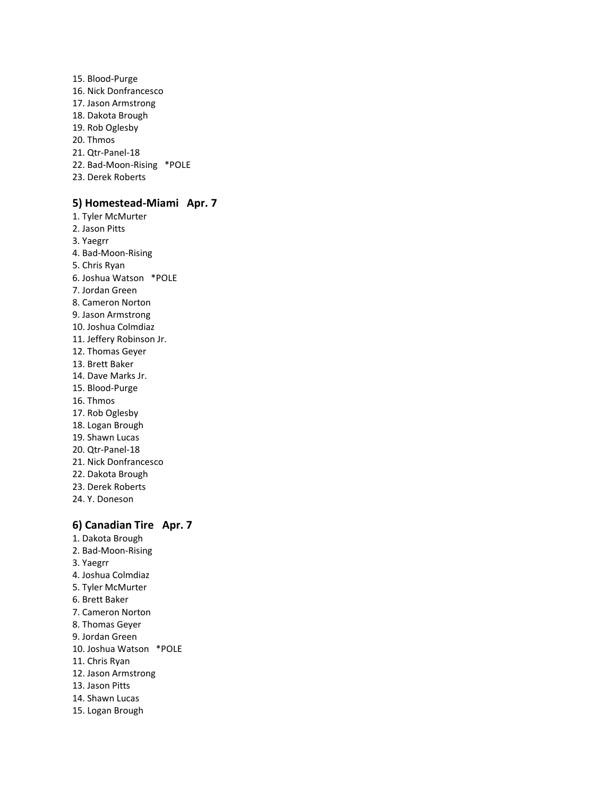15. Blood-Purge 16. Nick Donfrancesco 17. Jason Armstrong 18. Dakota Brough 19. Rob Oglesby 20. Thmos 21. Qtr-Panel-18 22. Bad-Moon-Rising \*POLE 23. Derek Roberts

# **5) Homestead-Miami Apr. 7**

1. Tyler McMurter 2. Jason Pitts 3. Yaegrr 4. Bad-Moon-Rising 5. Chris Ryan 6. Joshua Watson \*POLE 7. Jordan Green 8. Cameron Norton 9. Jason Armstrong 10. Joshua Colmdiaz 11. Jeffery Robinson Jr. 12. Thomas Geyer 13. Brett Baker 14. Dave Marks Jr. 15. Blood-Purge 16. Thmos 17. Rob Oglesby 18. Logan Brough 19. Shawn Lucas 20. Qtr-Panel-18 21. Nick Donfrancesco 22. Dakota Brough 23. Derek Roberts 24. Y. Doneson

# **6) Canadian Tire Apr. 7**

1. Dakota Brough 2. Bad-Moon-Rising 3. Yaegrr 4. Joshua Colmdiaz 5. Tyler McMurter 6. Brett Baker 7. Cameron Norton 8. Thomas Geyer 9. Jordan Green 10. Joshua Watson \*POLE 11. Chris Ryan 12. Jason Armstrong 13. Jason Pitts 14. Shawn Lucas 15. Logan Brough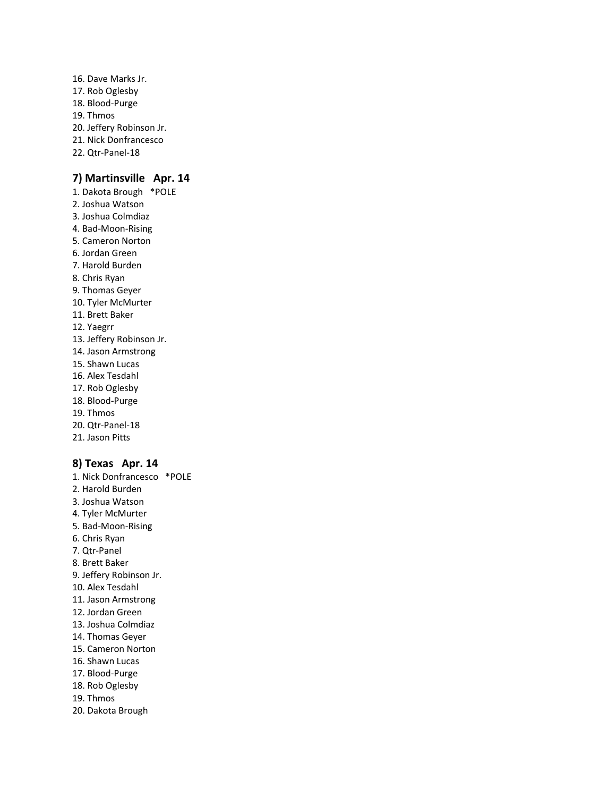16. Dave Marks Jr. 17. Rob Oglesby 18. Blood-Purge 19. Thmos 20. Jeffery Robinson Jr. 21. Nick Donfrancesco 22. Qtr-Panel-18

# **7) Martinsville Apr. 14**

1. Dakota Brough \*POLE 2. Joshua Watson 3. Joshua Colmdiaz 4. Bad-Moon-Rising 5. Cameron Norton 6. Jordan Green 7. Harold Burden 8. Chris Ryan 9. Thomas Geyer 10. Tyler McMurter 11. Brett Baker 12. Yaegrr 13. Jeffery Robinson Jr. 14. Jason Armstrong 15. Shawn Lucas 16. Alex Tesdahl 17. Rob Oglesby 18. Blood-Purge 19. Thmos 20. Qtr-Panel-18 21. Jason Pitts

# **8) Texas Apr. 14**

1. Nick Donfrancesco \*POLE 2. Harold Burden 3. Joshua Watson 4. Tyler McMurter 5. Bad-Moon-Rising 6. Chris Ryan 7. Qtr-Panel 8. Brett Baker 9. Jeffery Robinson Jr. 10. Alex Tesdahl 11. Jason Armstrong 12. Jordan Green 13. Joshua Colmdiaz 14. Thomas Geyer 15. Cameron Norton 16. Shawn Lucas 17. Blood-Purge 18. Rob Oglesby 19. Thmos 20. Dakota Brough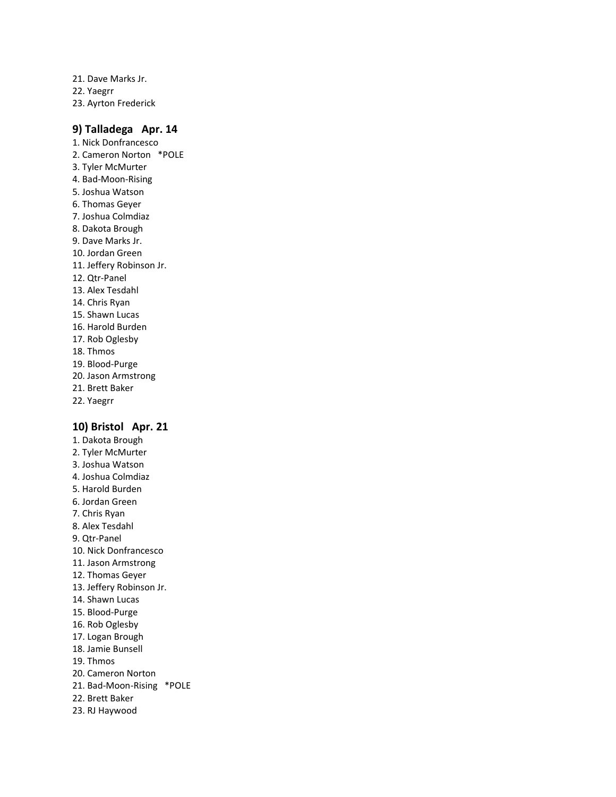21. Dave Marks Jr. 22. Yaegrr 23. Ayrton Frederick

# **9) Talladega Apr. 14**

1. Nick Donfrancesco 2. Cameron Norton \*POLE 3. Tyler McMurter 4. Bad-Moon-Rising 5. Joshua Watson 6. Thomas Geyer 7. Joshua Colmdiaz 8. Dakota Brough 9. Dave Marks Jr. 10. Jordan Green 11. Jeffery Robinson Jr. 12. Qtr-Panel 13. Alex Tesdahl 14. Chris Ryan 15. Shawn Lucas 16. Harold Burden 17. Rob Oglesby 18. Thmos 19. Blood-Purge 20. Jason Armstrong 21. Brett Baker 22. Yaegrr

# **10) Bristol Apr. 21**

1. Dakota Brough 2. Tyler McMurter 3. Joshua Watson 4. Joshua Colmdiaz 5. Harold Burden 6. Jordan Green 7. Chris Ryan 8. Alex Tesdahl 9. Qtr-Panel 10. Nick Donfrancesco 11. Jason Armstrong 12. Thomas Geyer 13. Jeffery Robinson Jr. 14. Shawn Lucas 15. Blood-Purge 16. Rob Oglesby 17. Logan Brough 18. Jamie Bunsell 19. Thmos 20. Cameron Norton 21. Bad-Moon-Rising \*POLE 22. Brett Baker 23. RJ Haywood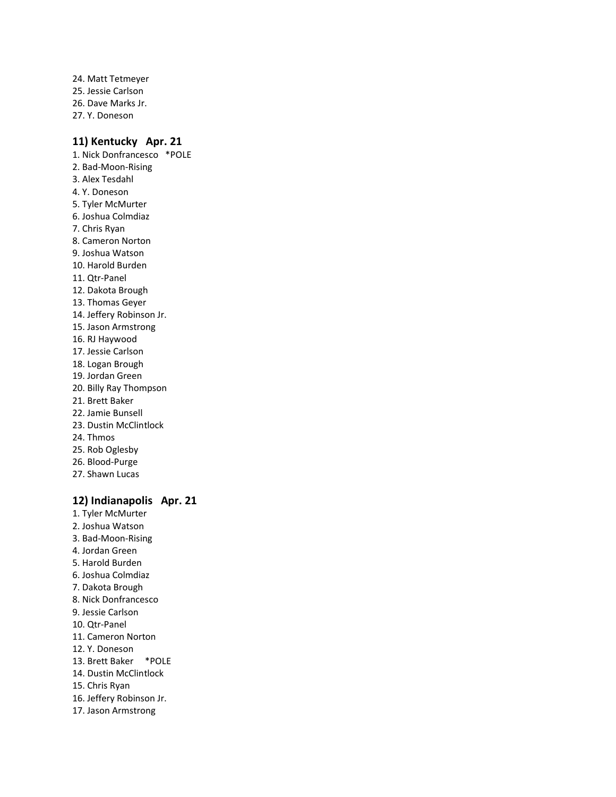24. Matt Tetmeyer 25. Jessie Carlson 26. Dave Marks Jr. 27. Y. Doneson

# **11) Kentucky Apr. 21**

1. Nick Donfrancesco \*POLE 2. Bad-Moon-Rising 3. Alex Tesdahl 4. Y. Doneson 5. Tyler McMurter 6. Joshua Colmdiaz 7. Chris Ryan 8. Cameron Norton 9. Joshua Watson 10. Harold Burden 11. Qtr-Panel 12. Dakota Brough 13. Thomas Geyer 14. Jeffery Robinson Jr. 15. Jason Armstrong 16. RJ Haywood 17. Jessie Carlson 18. Logan Brough 19. Jordan Green 20. Billy Ray Thompson 21. Brett Baker 22. Jamie Bunsell 23. Dustin McClintlock 24. Thmos 25. Rob Oglesby 26. Blood-Purge 27. Shawn Lucas

# **12) Indianapolis Apr. 21**

1. Tyler McMurter 2. Joshua Watson 3. Bad-Moon-Rising 4. Jordan Green 5. Harold Burden 6. Joshua Colmdiaz 7. Dakota Brough 8. Nick Donfrancesco 9. Jessie Carlson 10. Qtr-Panel 11. Cameron Norton 12. Y. Doneson 13. Brett Baker \*POLE 14. Dustin McClintlock 15. Chris Ryan 16. Jeffery Robinson Jr. 17. Jason Armstrong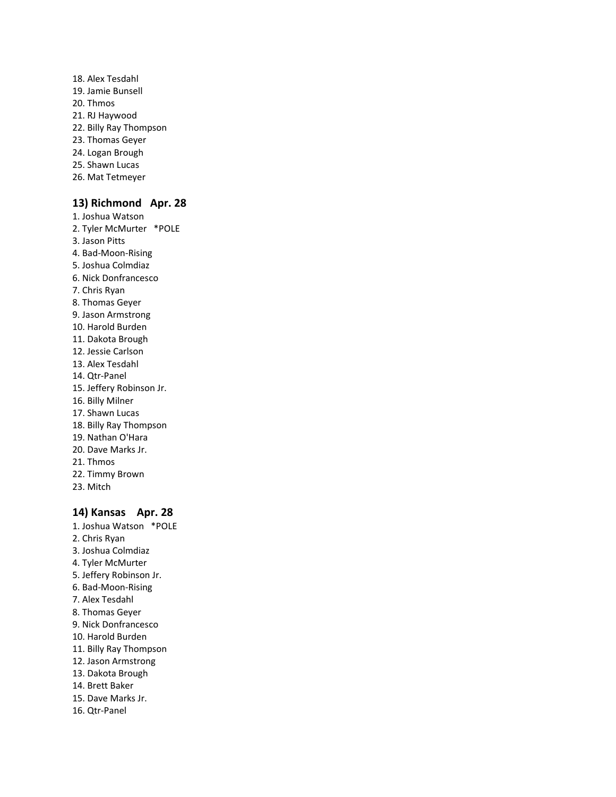- 18. Alex Tesdahl 19. Jamie Bunsell 20. Thmos 21. RJ Haywood 22. Billy Ray Thompson 23. Thomas Geyer 24. Logan Brough 25. Shawn Lucas
- 26. Mat Tetmeyer

# **13) Richmond Apr. 28**

1. Joshua Watson 2. Tyler McMurter \*POLE 3. Jason Pitts 4. Bad-Moon-Rising 5. Joshua Colmdiaz 6. Nick Donfrancesco 7. Chris Ryan 8. Thomas Geyer 9. Jason Armstrong 10. Harold Burden 11. Dakota Brough 12. Jessie Carlson 13. Alex Tesdahl 14. Qtr-Panel 15. Jeffery Robinson Jr. 16. Billy Milner 17. Shawn Lucas 18. Billy Ray Thompson 19. Nathan O'Hara 20. Dave Marks Jr. 21. Thmos 22. Timmy Brown 23. Mitch

# **14) Kansas Apr. 28**

1. Joshua Watson \*POLE 2. Chris Ryan 3. Joshua Colmdiaz 4. Tyler McMurter 5. Jeffery Robinson Jr. 6. Bad-Moon-Rising 7. Alex Tesdahl 8. Thomas Geyer 9. Nick Donfrancesco 10. Harold Burden 11. Billy Ray Thompson 12. Jason Armstrong 13. Dakota Brough 14. Brett Baker 15. Dave Marks Jr. 16. Qtr-Panel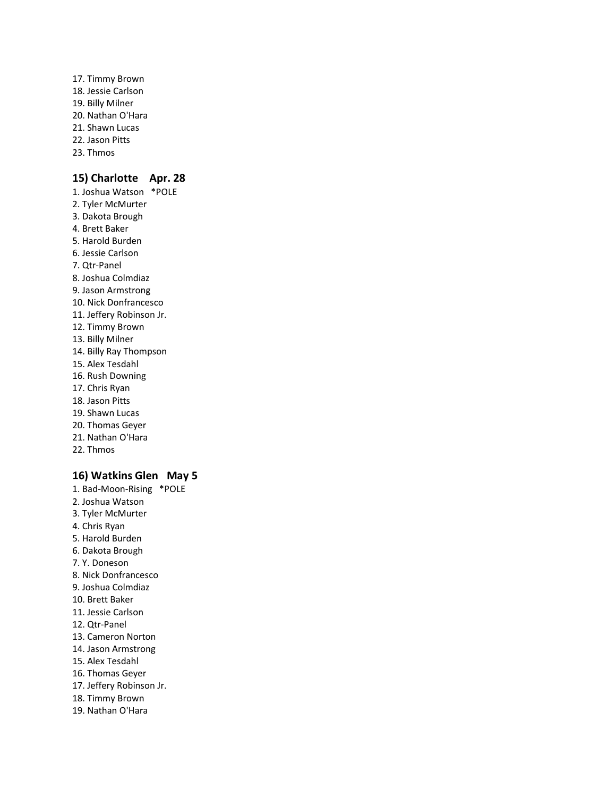17. Timmy Brown 18. Jessie Carlson 19. Billy Milner 20. Nathan O'Hara 21. Shawn Lucas 22. Jason Pitts 23. Thmos

# **15) Charlotte Apr. 28**

1. Joshua Watson \*POLE 2. Tyler McMurter 3. Dakota Brough 4. Brett Baker 5. Harold Burden 6. Jessie Carlson 7. Qtr-Panel 8. Joshua Colmdiaz 9. Jason Armstrong 10. Nick Donfrancesco 11. Jeffery Robinson Jr. 12. Timmy Brown 13. Billy Milner 14. Billy Ray Thompson 15. Alex Tesdahl 16. Rush Downing 17. Chris Ryan 18. Jason Pitts 19. Shawn Lucas 20. Thomas Geyer 21. Nathan O'Hara 22. Thmos

# **16) Watkins Glen May 5**

1. Bad-Moon-Rising \*POLE 2. Joshua Watson 3. Tyler McMurter 4. Chris Ryan 5. Harold Burden 6. Dakota Brough 7. Y. Doneson 8. Nick Donfrancesco 9. Joshua Colmdiaz 10. Brett Baker 11. Jessie Carlson 12. Qtr-Panel 13. Cameron Norton 14. Jason Armstrong 15. Alex Tesdahl 16. Thomas Geyer 17. Jeffery Robinson Jr. 18. Timmy Brown 19. Nathan O'Hara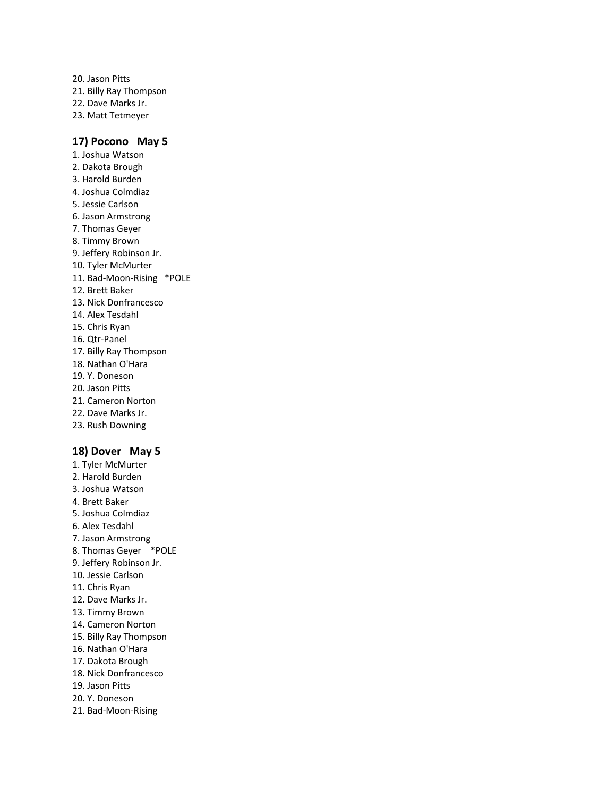20. Jason Pitts 21. Billy Ray Thompson 22. Dave Marks Jr. 23. Matt Tetmeyer

# **17) Pocono May 5**

1. Joshua Watson 2. Dakota Brough 3. Harold Burden 4. Joshua Colmdiaz 5. Jessie Carlson 6. Jason Armstrong 7. Thomas Geyer 8. Timmy Brown 9. Jeffery Robinson Jr. 10. Tyler McMurter 11. Bad-Moon-Rising \*POLE 12. Brett Baker 13. Nick Donfrancesco 14. Alex Tesdahl 15. Chris Ryan 16. Qtr-Panel 17. Billy Ray Thompson 18. Nathan O'Hara 19. Y. Doneson 20. Jason Pitts 21. Cameron Norton 22. Dave Marks Jr. 23. Rush Downing

# **18) Dover May 5**

1. Tyler McMurter 2. Harold Burden 3. Joshua Watson 4. Brett Baker 5. Joshua Colmdiaz 6. Alex Tesdahl 7. Jason Armstrong 8. Thomas Geyer \*POLE 9. Jeffery Robinson Jr. 10. Jessie Carlson 11. Chris Ryan 12. Dave Marks Jr. 13. Timmy Brown 14. Cameron Norton 15. Billy Ray Thompson 16. Nathan O'Hara 17. Dakota Brough 18. Nick Donfrancesco 19. Jason Pitts 20. Y. Doneson 21. Bad-Moon-Rising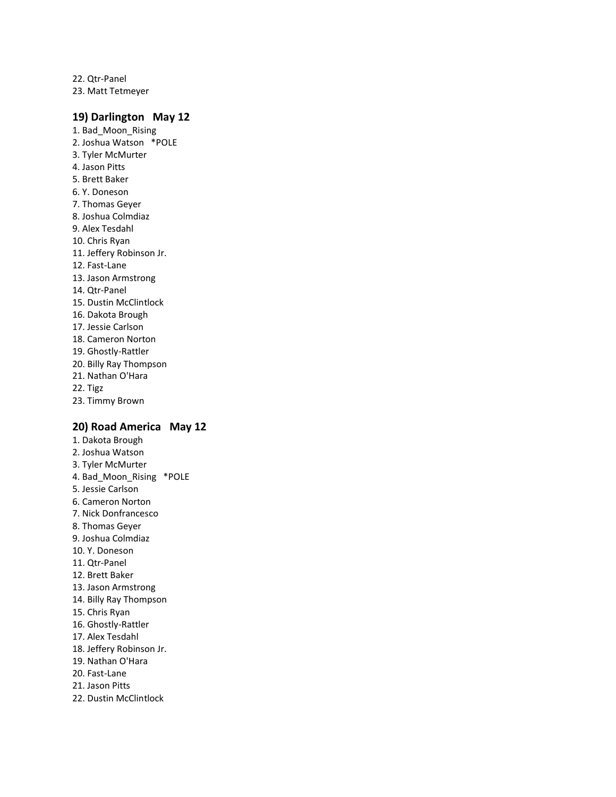22. Qtr-Panel 23. Matt Tetmeyer

# **19) Darlington May 12**

1. Bad\_Moon\_Rising 2. Joshua Watson \*POLE 3. Tyler McMurter 4. Jason Pitts 5. Brett Baker 6. Y. Doneson 7. Thomas Geyer 8. Joshua Colmdiaz 9. Alex Tesdahl 10. Chris Ryan 11. Jeffery Robinson Jr. 12. Fast-Lane 13. Jason Armstrong 14. Qtr-Panel 15. Dustin McClintlock 16. Dakota Brough 17. Jessie Carlson 18. Cameron Norton 19. Ghostly-Rattler 20. Billy Ray Thompson 21. Nathan O'Hara 22. Tigz 23. Timmy Brown

# **20) Road America May 12**

1. Dakota Brough 2. Joshua Watson 3. Tyler McMurter 4. Bad\_Moon\_Rising \*POLE 5. Jessie Carlson 6. Cameron Norton 7. Nick Donfrancesco 8. Thomas Geyer 9. Joshua Colmdiaz 10. Y. Doneson 11. Qtr-Panel 12. Brett Baker 13. Jason Armstrong 14. Billy Ray Thompson 15. Chris Ryan 16. Ghostly-Rattler 17. Alex Tesdahl 18. Jeffery Robinson Jr. 19. Nathan O'Hara 20. Fast-Lane 21. Jason Pitts 22. Dustin McClintlock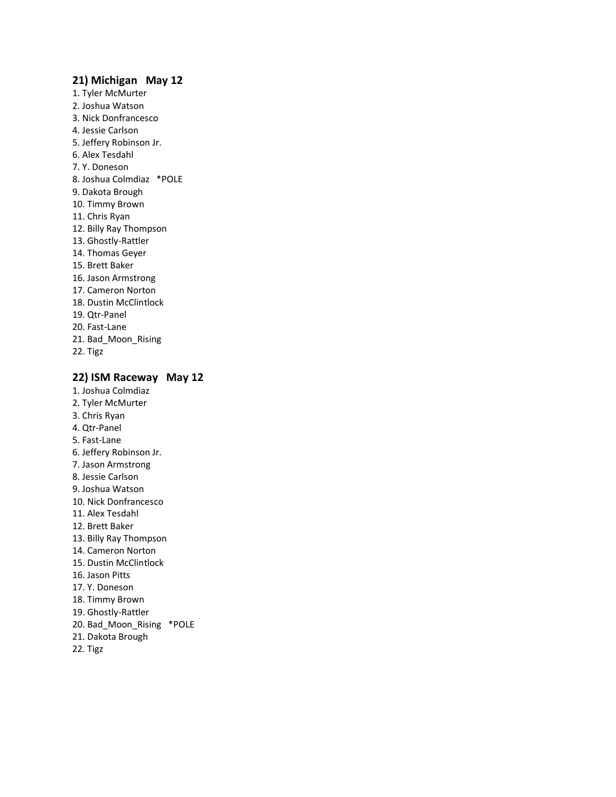# **21) Michigan May 12**

1. Tyler McMurter 2. Joshua Watson 3. Nick Donfrancesco 4. Jessie Carlson 5. Jeffery Robinson Jr. 6. Alex Tesdahl 7. Y. Doneson 8. Joshua Colmdiaz \*POLE 9. Dakota Brough 10. Timmy Brown 11. Chris Ryan 12. Billy Ray Thompson 13. Ghostly-Rattler 14. Thomas Geyer 15. Brett Baker 16. Jason Armstrong 17. Cameron Norton 18. Dustin McClintlock 19. Qtr-Panel 20. Fast-Lane 21. Bad\_Moon\_Rising 22. Tigz

# **22) ISM Raceway May 12**

- 1. Joshua Colmdiaz 2. Tyler McMurter 3. Chris Ryan 4. Qtr-Panel 5. Fast-Lane 6. Jeffery Robinson Jr. 7. Jason Armstrong 8. Jessie Carlson 9. Joshua Watson 10. Nick Donfrancesco 11. Alex Tesdahl 12. Brett Baker 13. Billy Ray Thompson 14. Cameron Norton 15. Dustin McClintlock 16. Jason Pitts 17. Y. Doneson 18. Timmy Brown 19. Ghostly-Rattler 20. Bad\_Moon\_Rising \*POLE 21. Dakota Brough
- 22. Tigz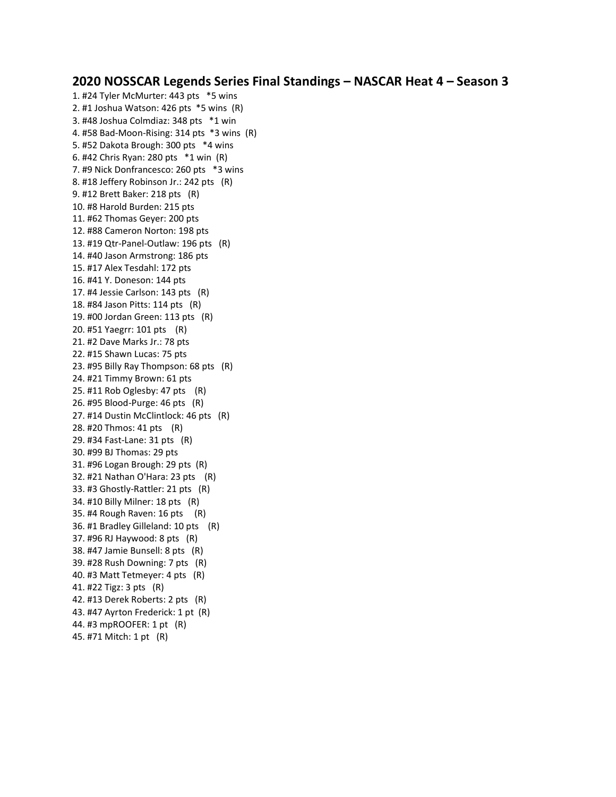# **2020 NOSSCAR Legends Series Final Standings – NASCAR Heat 4 – Season 3**

1. #24 Tyler McMurter: 443 pts \*5 wins 2. #1 Joshua Watson: 426 pts \*5 wins (R) 3. #48 Joshua Colmdiaz: 348 pts \*1 win 4. #58 Bad-Moon-Rising: 314 pts \*3 wins (R) 5. #52 Dakota Brough: 300 pts \*4 wins 6. #42 Chris Ryan: 280 pts \*1 win (R) 7. #9 Nick Donfrancesco: 260 pts \*3 wins 8. #18 Jeffery Robinson Jr.: 242 pts (R) 9. #12 Brett Baker: 218 pts (R) 10. #8 Harold Burden: 215 pts 11. #62 Thomas Geyer: 200 pts 12. #88 Cameron Norton: 198 pts 13. #19 Qtr-Panel-Outlaw: 196 pts (R) 14. #40 Jason Armstrong: 186 pts 15. #17 Alex Tesdahl: 172 pts 16. #41 Y. Doneson: 144 pts 17. #4 Jessie Carlson: 143 pts (R) 18. #84 Jason Pitts: 114 pts (R) 19. #00 Jordan Green: 113 pts (R) 20. #51 Yaegrr: 101 pts (R) 21. #2 Dave Marks Jr.: 78 pts 22. #15 Shawn Lucas: 75 pts 23. #95 Billy Ray Thompson: 68 pts (R) 24. #21 Timmy Brown: 61 pts 25. #11 Rob Oglesby: 47 pts (R) 26. #95 Blood-Purge: 46 pts (R) 27. #14 Dustin McClintlock: 46 pts (R) 28. #20 Thmos: 41 pts (R) 29. #34 Fast-Lane: 31 pts (R) 30. #99 BJ Thomas: 29 pts 31. #96 Logan Brough: 29 pts (R) 32. #21 Nathan O'Hara: 23 pts (R) 33. #3 Ghostly-Rattler: 21 pts (R) 34. #10 Billy Milner: 18 pts (R) 35. #4 Rough Raven: 16 pts (R) 36. #1 Bradley Gilleland: 10 pts (R) 37. #96 RJ Haywood: 8 pts (R) 38. #47 Jamie Bunsell: 8 pts (R) 39. #28 Rush Downing: 7 pts (R) 40. #3 Matt Tetmeyer: 4 pts (R) 41. #22 Tigz: 3 pts (R) 42. #13 Derek Roberts: 2 pts (R) 43. #47 Ayrton Frederick: 1 pt (R) 44. #3 mpROOFER: 1 pt (R) 45. #71 Mitch: 1 pt (R)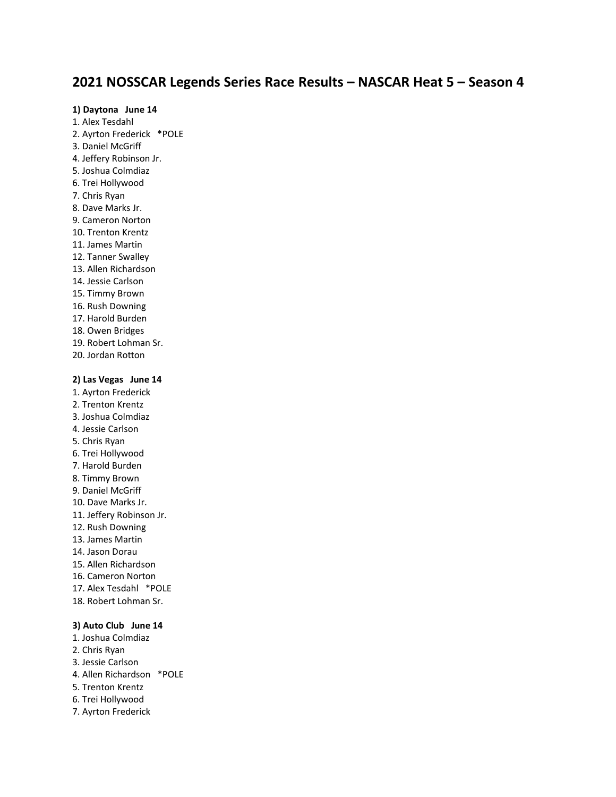# **2021 NOSSCAR Legends Series Race Results – NASCAR Heat 5 – Season 4**

### **1) Daytona June 14**

1. Alex Tesdahl 2. Ayrton Frederick \*POLE 3. Daniel McGriff 4. Jeffery Robinson Jr. 5. Joshua Colmdiaz 6. Trei Hollywood 7. Chris Ryan 8. Dave Marks Jr. 9. Cameron Norton 10. Trenton Krentz 11. James Martin 12. Tanner Swalley 13. Allen Richardson 14. Jessie Carlson 15. Timmy Brown 16. Rush Downing 17. Harold Burden 18. Owen Bridges 19. Robert Lohman Sr. 20. Jordan Rotton

# **2) Las Vegas June 14**

- 1. Ayrton Frederick 2. Trenton Krentz 3. Joshua Colmdiaz 4. Jessie Carlson 5. Chris Ryan 6. Trei Hollywood 7. Harold Burden 8. Timmy Brown 9. Daniel McGriff 10. Dave Marks Jr. 11. Jeffery Robinson Jr. 12. Rush Downing 13. James Martin 14. Jason Dorau 15. Allen Richardson 16. Cameron Norton 17. Alex Tesdahl \*POLE 18. Robert Lohman Sr. **3) Auto Club June 14**
- 1. Joshua Colmdiaz 2. Chris Ryan 3. Jessie Carlson 4. Allen Richardson \*POLE 5. Trenton Krentz 6. Trei Hollywood 7. Ayrton Frederick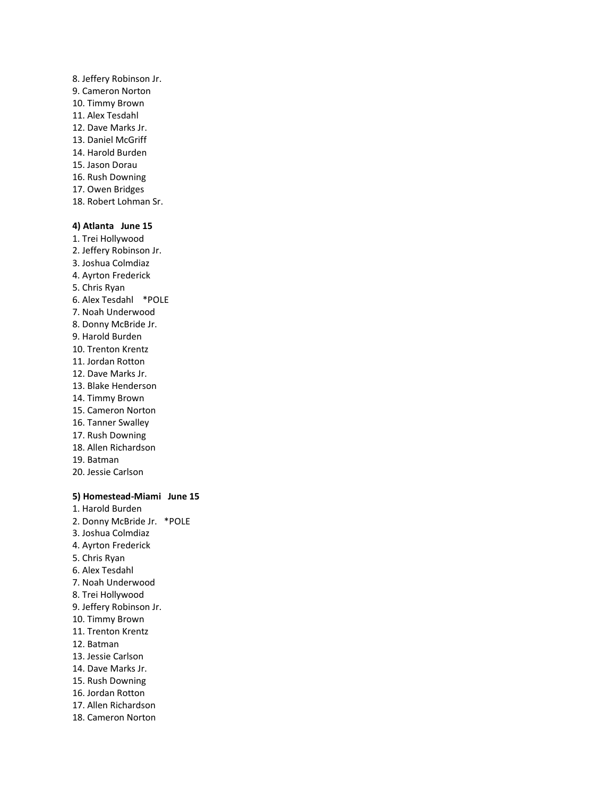- 8. Jeffery Robinson Jr. 9. Cameron Norton 10. Timmy Brown 11. Alex Tesdahl 12. Dave Marks Jr. 13. Daniel McGriff 14. Harold Burden 15. Jason Dorau 16. Rush Downing 17. Owen Bridges
- 18. Robert Lohman Sr.

# **4) Atlanta June 15**

- 1. Trei Hollywood 2. Jeffery Robinson Jr. 3. Joshua Colmdiaz 4. Ayrton Frederick 5. Chris Ryan 6. Alex Tesdahl \*POLE 7. Noah Underwood 8. Donny McBride Jr. 9. Harold Burden 10. Trenton Krentz 11. Jordan Rotton 12. Dave Marks Jr. 13. Blake Henderson 14. Timmy Brown 15. Cameron Norton 16. Tanner Swalley 17. Rush Downing 18. Allen Richardson 19. Batman
- 20. Jessie Carlson

### **5) Homestead-Miami June 15**

1. Harold Burden 2. Donny McBride Jr. \*POLE 3. Joshua Colmdiaz 4. Ayrton Frederick 5. Chris Ryan 6. Alex Tesdahl 7. Noah Underwood 8. Trei Hollywood 9. Jeffery Robinson Jr. 10. Timmy Brown 11. Trenton Krentz 12. Batman 13. Jessie Carlson 14. Dave Marks Jr. 15. Rush Downing 16. Jordan Rotton 17. Allen Richardson 18. Cameron Norton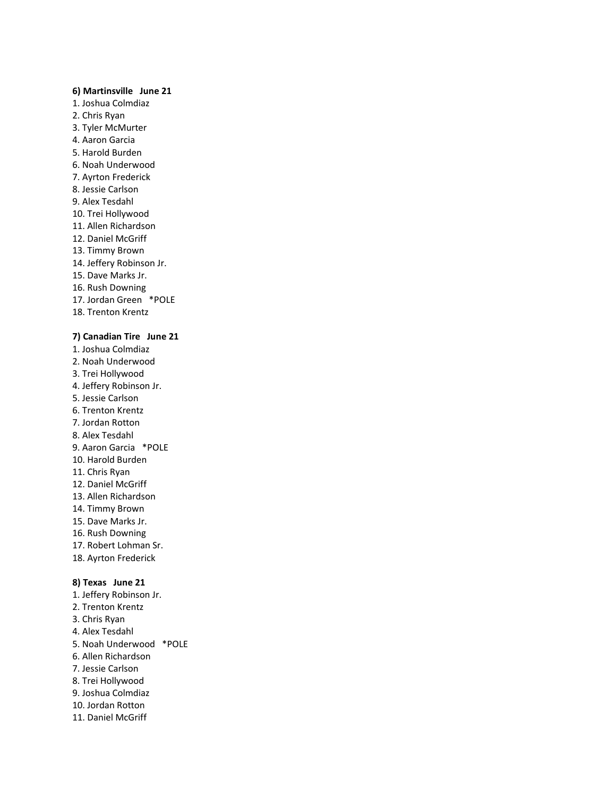### **6) Martinsville June 21**

- 1. Joshua Colmdiaz
- 2. Chris Ryan
- 3. Tyler McMurter
- 4. Aaron Garcia
- 5. Harold Burden
- 6. Noah Underwood
- 7. Ayrton Frederick
- 8. Jessie Carlson
- 9. Alex Tesdahl
- 10. Trei Hollywood
- 11. Allen Richardson
- 12. Daniel McGriff 13. Timmy Brown
- 
- 14. Jeffery Robinson Jr. 15. Dave Marks Jr.
- 16. Rush Downing
- 17. Jordan Green \*POLE
- 18. Trenton Krentz

# **7) Canadian Tire June 21**

- 1. Joshua Colmdiaz 2. Noah Underwood 3. Trei Hollywood 4. Jeffery Robinson Jr. 5. Jessie Carlson 6. Trenton Krentz 7. Jordan Rotton 8. Alex Tesdahl 9. Aaron Garcia \*POLE 10. Harold Burden 11. Chris Ryan 12. Daniel McGriff 13. Allen Richardson 14. Timmy Brown 15. Dave Marks Jr. 16. Rush Downing 17. Robert Lohman Sr. 18. Ayrton Frederick **8) Texas June 21**
- 1. Jeffery Robinson Jr. 2. Trenton Krentz 3. Chris Ryan 4. Alex Tesdahl 5. Noah Underwood \*POLE 6. Allen Richardson 7. Jessie Carlson 8. Trei Hollywood 9. Joshua Colmdiaz 10. Jordan Rotton 11. Daniel McGriff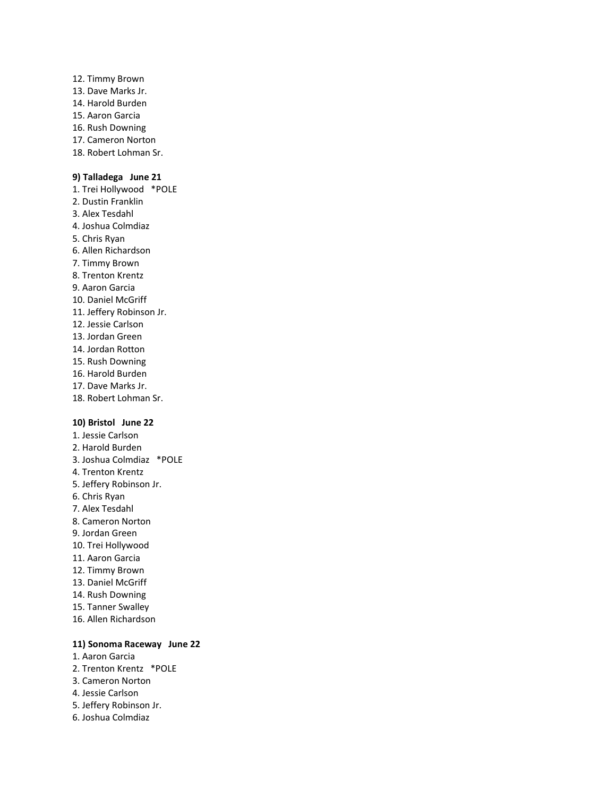12. Timmy Brown 13. Dave Marks Jr. 14. Harold Burden 15. Aaron Garcia 16. Rush Downing 17. Cameron Norton 18. Robert Lohman Sr.

### **9) Talladega June 21**

1. Trei Hollywood \*POLE 2. Dustin Franklin 3. Alex Tesdahl 4. Joshua Colmdiaz 5. Chris Ryan 6. Allen Richardson 7. Timmy Brown 8. Trenton Krentz 9. Aaron Garcia 10. Daniel McGriff 11. Jeffery Robinson Jr. 12. Jessie Carlson 13. Jordan Green 14. Jordan Rotton 15. Rush Downing 16. Harold Burden 17. Dave Marks Jr. 18. Robert Lohman Sr.

### **10) Bristol June 22**

1. Jessie Carlson 2. Harold Burden 3. Joshua Colmdiaz \*POLE 4. Trenton Krentz 5. Jeffery Robinson Jr. 6. Chris Ryan 7. Alex Tesdahl 8. Cameron Norton 9. Jordan Green 10. Trei Hollywood 11. Aaron Garcia 12. Timmy Brown 13. Daniel McGriff 14. Rush Downing 15. Tanner Swalley 16. Allen Richardson

### **11) Sonoma Raceway June 22**

1. Aaron Garcia 2. Trenton Krentz \*POLE 3. Cameron Norton 4. Jessie Carlson 5. Jeffery Robinson Jr. 6. Joshua Colmdiaz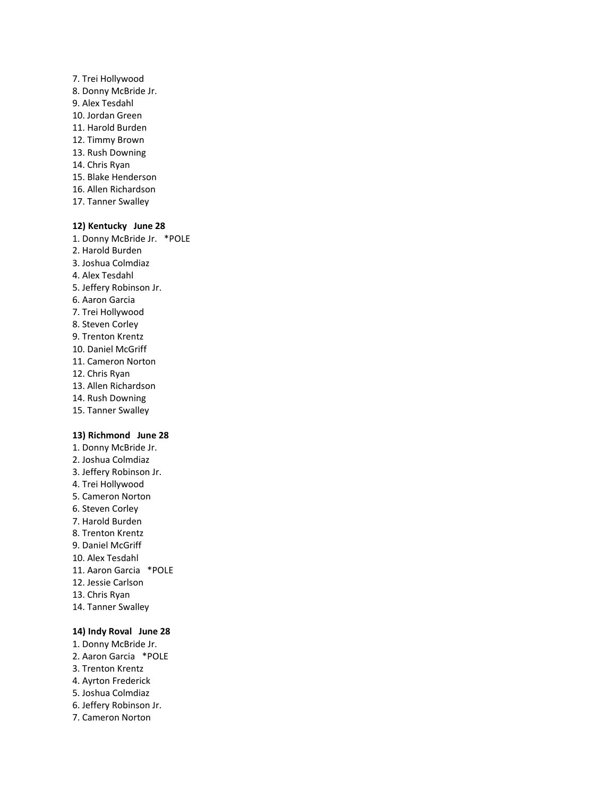- 7. Trei Hollywood 8. Donny McBride Jr. 9. Alex Tesdahl 10. Jordan Green 11. Harold Burden 12. Timmy Brown 13. Rush Downing 14. Chris Ryan 15. Blake Henderson 16. Allen Richardson
- 17. Tanner Swalley

### **12) Kentucky June 28**

1. Donny McBride Jr. \*POLE 2. Harold Burden 3. Joshua Colmdiaz 4. Alex Tesdahl 5. Jeffery Robinson Jr. 6. Aaron Garcia 7. Trei Hollywood 8. Steven Corley 9. Trenton Krentz 10. Daniel McGriff 11. Cameron Norton 12. Chris Ryan 13. Allen Richardson

- 14. Rush Downing
- 15. Tanner Swalley

# **13) Richmond June 28**

1. Donny McBride Jr. 2. Joshua Colmdiaz 3. Jeffery Robinson Jr. 4. Trei Hollywood 5. Cameron Norton 6. Steven Corley 7. Harold Burden 8. Trenton Krentz 9. Daniel McGriff 10. Alex Tesdahl 11. Aaron Garcia \*POLE 12. Jessie Carlson 13. Chris Ryan 14. Tanner Swalley

# **14) Indy Roval June 28**

- 1. Donny McBride Jr. 2. Aaron Garcia \*POLE
- 3. Trenton Krentz
- 4. Ayrton Frederick
- 5. Joshua Colmdiaz
- 6. Jeffery Robinson Jr.
- 7. Cameron Norton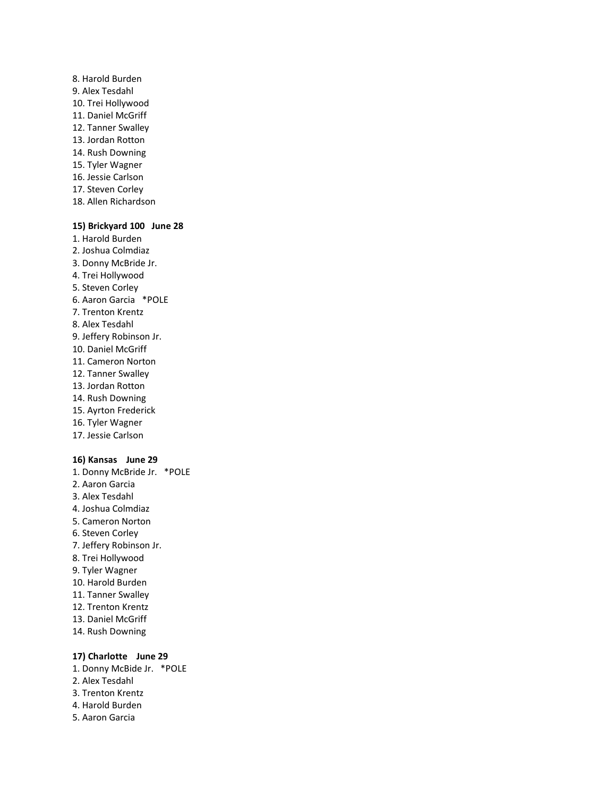8. Harold Burden 9. Alex Tesdahl 10. Trei Hollywood 11. Daniel McGriff 12. Tanner Swalley 13. Jordan Rotton 14. Rush Downing 15. Tyler Wagner 16. Jessie Carlson 17. Steven Corley 18. Allen Richardson

### **15) Brickyard 100 June 28**

- 1. Harold Burden 2. Joshua Colmdiaz 3. Donny McBride Jr. 4. Trei Hollywood 5. Steven Corley 6. Aaron Garcia \*POLE 7. Trenton Krentz 8. Alex Tesdahl 9. Jeffery Robinson Jr. 10. Daniel McGriff 11. Cameron Norton 12. Tanner Swalley 13. Jordan Rotton 14. Rush Downing 15. Ayrton Frederick 16. Tyler Wagner 17. Jessie Carlson **16) Kansas June 29** 1. Donny McBride Jr. \*POLE 2. Aaron Garcia
- 
- 3. Alex Tesdahl
- 4. Joshua Colmdiaz
- 5. Cameron Norton 6. Steven Corley
- 7. Jeffery Robinson Jr.
- 8. Trei Hollywood
- 9. Tyler Wagner
- 10. Harold Burden
- 11. Tanner Swalley
- 12. Trenton Krentz
- 13. Daniel McGriff
- 14. Rush Downing

#### **17) Charlotte June 29**

- 1. Donny McBide Jr. \*POLE
- 2. Alex Tesdahl
- 3. Trenton Krentz
- 4. Harold Burden
- 5. Aaron Garcia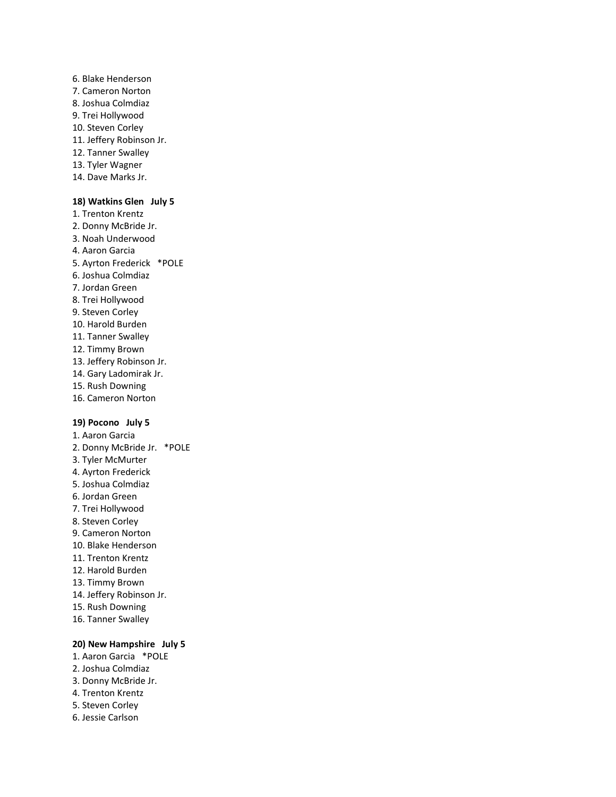- 6. Blake Henderson 7. Cameron Norton 8. Joshua Colmdiaz 9. Trei Hollywood 10. Steven Corley 11. Jeffery Robinson Jr. 12. Tanner Swalley 13. Tyler Wagner
- 14. Dave Marks Jr.

### **18) Watkins Glen July 5**

1. Trenton Krentz 2. Donny McBride Jr. 3. Noah Underwood 4. Aaron Garcia 5. Ayrton Frederick \*POLE 6. Joshua Colmdiaz 7. Jordan Green 8. Trei Hollywood 9. Steven Corley 10. Harold Burden 11. Tanner Swalley 12. Timmy Brown 13. Jeffery Robinson Jr. 14. Gary Ladomirak Jr. 15. Rush Downing 16. Cameron Norton

### **19) Pocono July 5**

1. Aaron Garcia 2. Donny McBride Jr. \*POLE 3. Tyler McMurter 4. Ayrton Frederick 5. Joshua Colmdiaz 6. Jordan Green 7. Trei Hollywood 8. Steven Corley 9. Cameron Norton 10. Blake Henderson 11. Trenton Krentz 12. Harold Burden 13. Timmy Brown 14. Jeffery Robinson Jr. 15. Rush Downing 16. Tanner Swalley

### **20) New Hampshire July 5**

- 1. Aaron Garcia \*POLE 2. Joshua Colmdiaz 3. Donny McBride Jr. 4. Trenton Krentz 5. Steven Corley
- 6. Jessie Carlson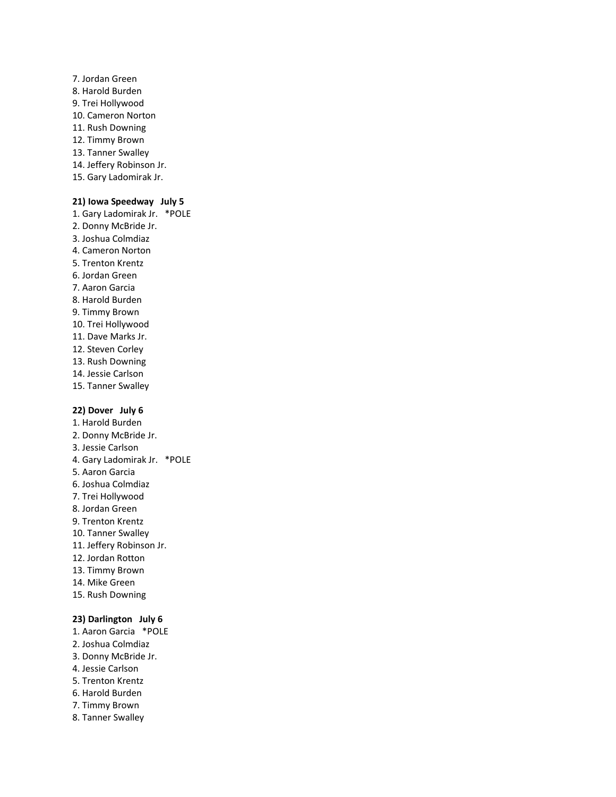- 7. Jordan Green 8. Harold Burden 9. Trei Hollywood 10. Cameron Norton 11. Rush Downing 12. Timmy Brown 13. Tanner Swalley 14. Jeffery Robinson Jr.
- 15. Gary Ladomirak Jr.

### **21) Iowa Speedway July 5**

1. Gary Ladomirak Jr. \*POLE 2. Donny McBride Jr. 3. Joshua Colmdiaz 4. Cameron Norton 5. Trenton Krentz 6. Jordan Green 7. Aaron Garcia 8. Harold Burden 9. Timmy Brown 10. Trei Hollywood 11. Dave Marks Jr. 12. Steven Corley 13. Rush Downing 14. Jessie Carlson 15. Tanner Swalley

# **22) Dover July 6**

1. Harold Burden 2. Donny McBride Jr. 3. Jessie Carlson 4. Gary Ladomirak Jr. \*POLE 5. Aaron Garcia 6. Joshua Colmdiaz 7. Trei Hollywood 8. Jordan Green 9. Trenton Krentz 10. Tanner Swalley 11. Jeffery Robinson Jr. 12. Jordan Rotton 13. Timmy Brown 14. Mike Green 15. Rush Downing

### **23) Darlington July 6**

- 1. Aaron Garcia \*POLE
- 2. Joshua Colmdiaz
- 3. Donny McBride Jr.
- 4. Jessie Carlson
- 5. Trenton Krentz
- 6. Harold Burden
- 7. Timmy Brown
- 8. Tanner Swalley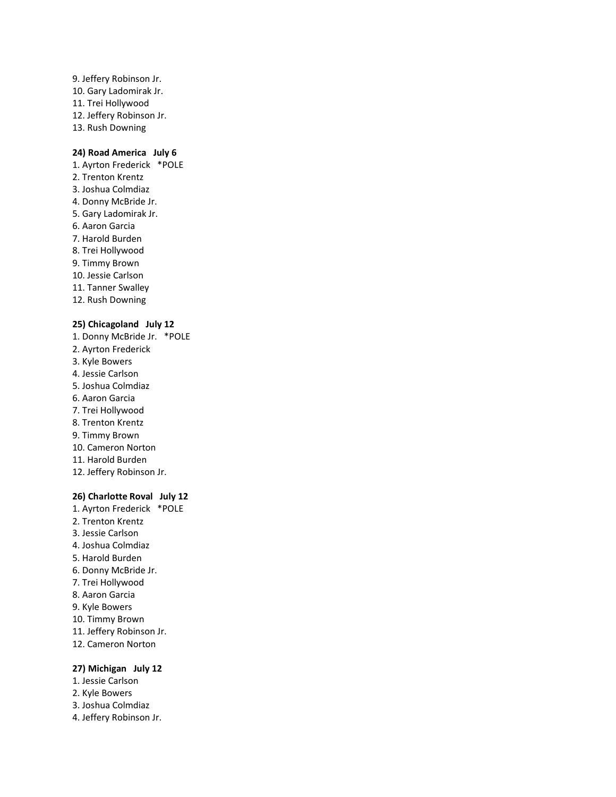9. Jeffery Robinson Jr. 10. Gary Ladomirak Jr. 11. Trei Hollywood 12. Jeffery Robinson Jr. 13. Rush Downing

### **24) Road America July 6**

1. Ayrton Frederick \*POLE 2. Trenton Krentz 3. Joshua Colmdiaz 4. Donny McBride Jr. 5. Gary Ladomirak Jr. 6. Aaron Garcia 7. Harold Burden 8. Trei Hollywood 9. Timmy Brown 10. Jessie Carlson 11. Tanner Swalley 12. Rush Downing

### **25) Chicagoland July 12**

1. Donny McBride Jr. \*POLE 2. Ayrton Frederick 3. Kyle Bowers 4. Jessie Carlson 5. Joshua Colmdiaz 6. Aaron Garcia 7. Trei Hollywood 8. Trenton Krentz 9. Timmy Brown 10. Cameron Norton 11. Harold Burden 12. Jeffery Robinson Jr.

# **26) Charlotte Roval July 12**

1. Ayrton Frederick \*POLE 2. Trenton Krentz 3. Jessie Carlson 4. Joshua Colmdiaz 5. Harold Burden 6. Donny McBride Jr. 7. Trei Hollywood 8. Aaron Garcia 9. Kyle Bowers 10. Timmy Brown 11. Jeffery Robinson Jr. 12. Cameron Norton

### **27) Michigan July 12**

- 1. Jessie Carlson
- 2. Kyle Bowers
- 3. Joshua Colmdiaz
- 4. Jeffery Robinson Jr.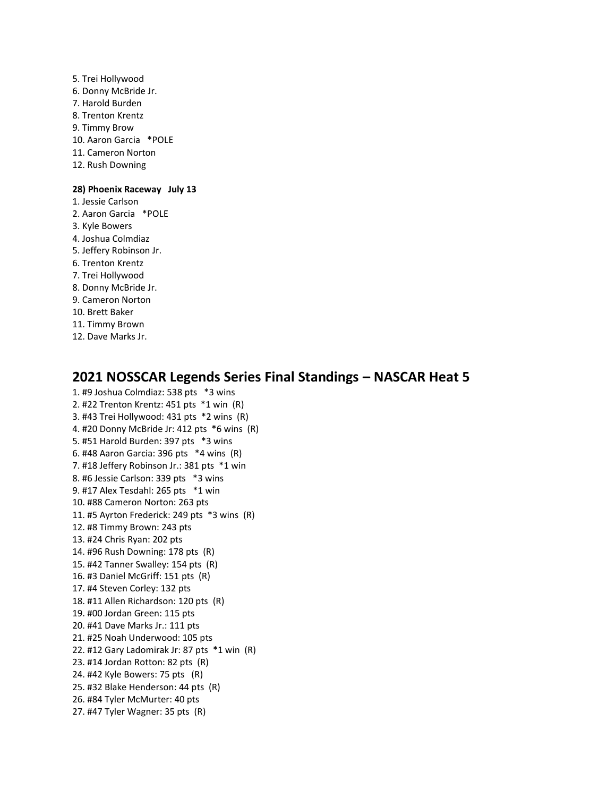5. Trei Hollywood 6. Donny McBride Jr. 7. Harold Burden 8. Trenton Krentz 9. Timmy Brow 10. Aaron Garcia \*POLE 11. Cameron Norton 12. Rush Downing

### **28) Phoenix Raceway July 13**

- 1. Jessie Carlson
- 2. Aaron Garcia \*POLE
- 3. Kyle Bowers
- 4. Joshua Colmdiaz
- 5. Jeffery Robinson Jr.
- 6. Trenton Krentz
- 7. Trei Hollywood
- 8. Donny McBride Jr.
- 9. Cameron Norton
- 10. Brett Baker
- 11. Timmy Brown
- 12. Dave Marks Jr.

# **2021 NOSSCAR Legends Series Final Standings – NASCAR Heat 5**

1. #9 Joshua Colmdiaz: 538 pts \*3 wins 2. #22 Trenton Krentz: 451 pts \*1 win (R) 3. #43 Trei Hollywood: 431 pts \*2 wins (R) 4. #20 Donny McBride Jr: 412 pts \*6 wins (R) 5. #51 Harold Burden: 397 pts \*3 wins 6. #48 Aaron Garcia: 396 pts \*4 wins (R) 7. #18 Jeffery Robinson Jr.: 381 pts \*1 win 8. #6 Jessie Carlson: 339 pts \*3 wins 9. #17 Alex Tesdahl: 265 pts \*1 win 10. #88 Cameron Norton: 263 pts 11. #5 Ayrton Frederick: 249 pts \*3 wins (R) 12. #8 Timmy Brown: 243 pts 13. #24 Chris Ryan: 202 pts 14. #96 Rush Downing: 178 pts (R) 15. #42 Tanner Swalley: 154 pts (R) 16. #3 Daniel McGriff: 151 pts (R) 17. #4 Steven Corley: 132 pts 18. #11 Allen Richardson: 120 pts (R) 19. #00 Jordan Green: 115 pts 20. #41 Dave Marks Jr.: 111 pts 21. #25 Noah Underwood: 105 pts 22. #12 Gary Ladomirak Jr: 87 pts \*1 win (R) 23. #14 Jordan Rotton: 82 pts (R) 24. #42 Kyle Bowers: 75 pts (R) 25. #32 Blake Henderson: 44 pts (R) 26. #84 Tyler McMurter: 40 pts 27. #47 Tyler Wagner: 35 pts (R)